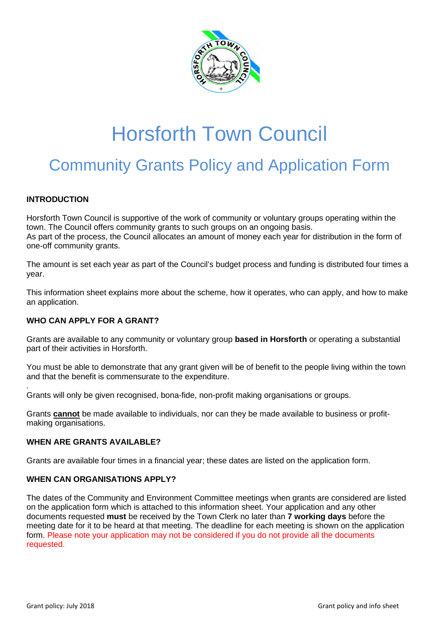

# Horsforth Town Council

### Community Grants Policy and Application Form

#### **INTRODUCTION**

.

Horsforth Town Council is supportive of the work of community or voluntary groups operating within the town. The Council offers community grants to such groups on an ongoing basis. As part of the process, the Council allocates an amount of money each year for distribution in the form of one-off community grants.

The amount is set each year as part of the Council's budget process and funding is distributed four times a year.

This information sheet explains more about the scheme, how it operates, who can apply, and how to make an application.

#### **WHO CAN APPLY FOR A GRANT?**

Grants are available to any community or voluntary group **based in Horsforth** or operating a substantial part of their activities in Horsforth.

You must be able to demonstrate that any grant given will be of benefit to the people living within the town and that the benefit is commensurate to the expenditure.

Grants will only be given recognised, bona-fide, non-profit making organisations or groups.

Grants **cannot** be made available to individuals, nor can they be made available to business or profitmaking organisations.

#### **WHEN ARE GRANTS AVAILABLE?**

Grants are available four times in a financial year; these dates are listed on the application form.

#### **WHEN CAN ORGANISATIONS APPLY?**

The dates of the Community and Environment Committee meetings when grants are considered are listed on the application form which is attached to this information sheet. Your application and any other documents requested **must** be received by the Town Clerk no later than **7 working days** before the meeting date for it to be heard at that meeting. The deadline for each meeting is shown on the application form. Please note your application may not be considered if you do not provide all the documents requested.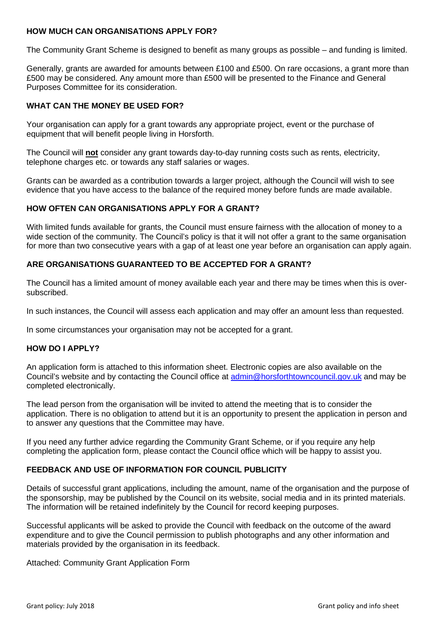#### **HOW MUCH CAN ORGANISATIONS APPLY FOR?**

The Community Grant Scheme is designed to benefit as many groups as possible – and funding is limited.

Generally, grants are awarded for amounts between £100 and £500. On rare occasions, a grant more than £500 may be considered. Any amount more than £500 will be presented to the Finance and General Purposes Committee for its consideration.

#### **WHAT CAN THE MONEY BE USED FOR?**

Your organisation can apply for a grant towards any appropriate project, event or the purchase of equipment that will benefit people living in Horsforth.

The Council will **not** consider any grant towards day-to-day running costs such as rents, electricity, telephone charges etc. or towards any staff salaries or wages.

Grants can be awarded as a contribution towards a larger project, although the Council will wish to see evidence that you have access to the balance of the required money before funds are made available.

#### **HOW OFTEN CAN ORGANISATIONS APPLY FOR A GRANT?**

With limited funds available for grants, the Council must ensure fairness with the allocation of money to a wide section of the community. The Council's policy is that it will not offer a grant to the same organisation for more than two consecutive years with a gap of at least one year before an organisation can apply again.

#### **ARE ORGANISATIONS GUARANTEED TO BE ACCEPTED FOR A GRANT?**

The Council has a limited amount of money available each year and there may be times when this is oversubscribed.

In such instances, the Council will assess each application and may offer an amount less than requested.

In some circumstances your organisation may not be accepted for a grant.

#### **HOW DO I APPLY?**

An application form is attached to this information sheet. Electronic copies are also available on the Council's website and by contacting the Council office at admin@horsforthtowncouncil.gov.uk and may be completed electronically.

The lead person from the organisation will be invited to attend the meeting that is to consider the application. There is no obligation to attend but it is an opportunity to present the application in person and to answer any questions that the Committee may have.

If you need any further advice regarding the Community Grant Scheme, or if you require any help completing the application form, please contact the Council office which will be happy to assist you.

#### **FEEDBACK AND USE OF INFORMATION FOR COUNCIL PUBLICITY**

Details of successful grant applications, including the amount, name of the organisation and the purpose of the sponsorship, may be published by the Council on its website, social media and in its printed materials. The information will be retained indefinitely by the Council for record keeping purposes.

Successful applicants will be asked to provide the Council with feedback on the outcome of the award expenditure and to give the Council permission to publish photographs and any other information and materials provided by the organisation in its feedback.

Attached: Community Grant Application Form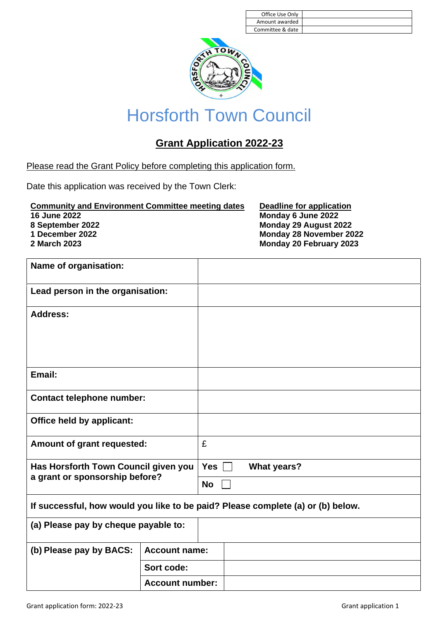| Office Use Only  |  |
|------------------|--|
| Amount awarded   |  |
| Committee & date |  |



## Horsforth Town Council

### **Grant Application 2022-23**

Please read the Grant Policy before completing this application form.

Date this application was received by the Town Clerk:

**Community and Environment Committee meeting dates Deadline for application 16 June 2022 Monday 6 June 2022 8 September 2022 Monday 29 August 2022 1 December 2022 Monday 28 November 2022**

**2 March 2023 Monday 20 February 2023**

| Name of organisation:                                                           |                        |            |                    |  |  |
|---------------------------------------------------------------------------------|------------------------|------------|--------------------|--|--|
| Lead person in the organisation:                                                |                        |            |                    |  |  |
| <b>Address:</b>                                                                 |                        |            |                    |  |  |
|                                                                                 |                        |            |                    |  |  |
|                                                                                 |                        |            |                    |  |  |
| Email:                                                                          |                        |            |                    |  |  |
| <b>Contact telephone number:</b>                                                |                        |            |                    |  |  |
| <b>Office held by applicant:</b>                                                |                        |            |                    |  |  |
| Amount of grant requested:                                                      |                        | £          |                    |  |  |
| Has Horsforth Town Council given you<br>a grant or sponsorship before?          |                        | <b>Yes</b> | <b>What years?</b> |  |  |
|                                                                                 |                        | <b>No</b>  |                    |  |  |
| If successful, how would you like to be paid? Please complete (a) or (b) below. |                        |            |                    |  |  |
| (a) Please pay by cheque payable to:                                            |                        |            |                    |  |  |
| (b) Please pay by BACS:                                                         | <b>Account name:</b>   |            |                    |  |  |
|                                                                                 | Sort code:             |            |                    |  |  |
|                                                                                 | <b>Account number:</b> |            |                    |  |  |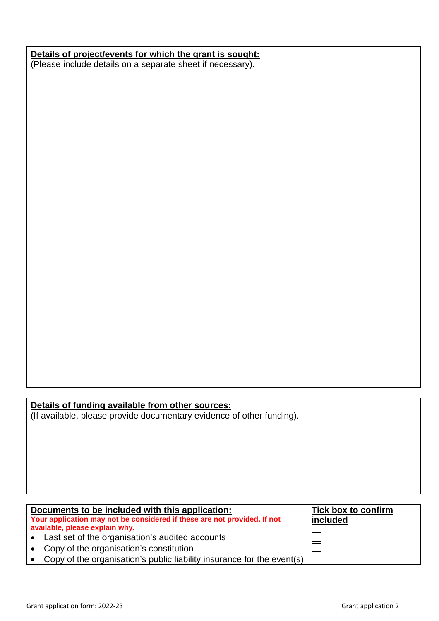#### **Details of project/events for which the grant is sought:** (Please include details on a separate sheet if necessary).

#### **Details of funding available from other sources:**

(If available, please provide documentary evidence of other funding).

#### **Documents to be included with this application: Your application may not be considered if these are not provided. If not available, please explain why. Tick box to confirm included**  Last set of the organisation's audited accounts Copy of the organisation's constitution • Copy of the organisation's public liability insurance for the event(s)